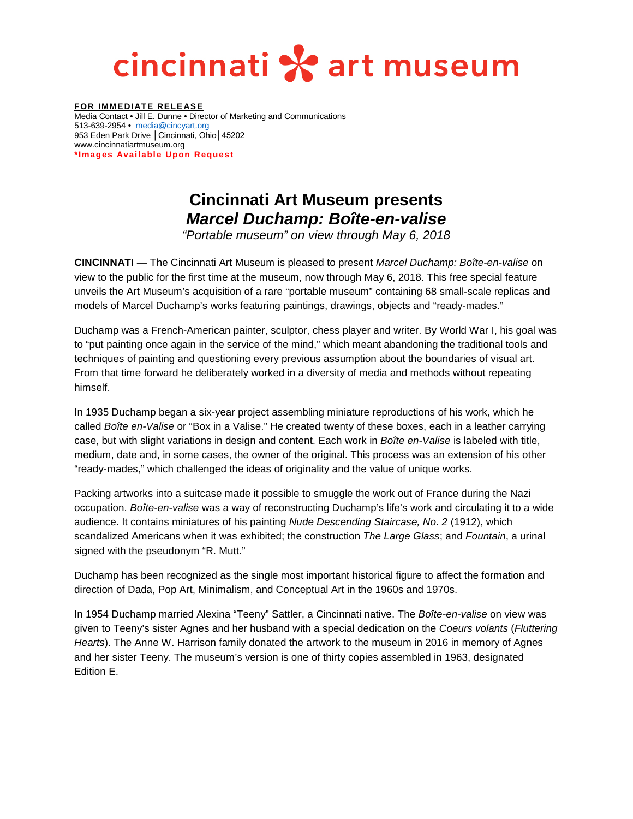## cincinnati \* art museum

**FOR IMMEDIATE RELEASE** Media Contact • Jill E. Dunne • Director of Marketing and Communications 513-639-2954 **•** [media@cincyart.org](mailto:media@cincyart.org) 953 Eden Park Drive | Cincinnati, Ohio | 45202 www.cincinnatiartmuseum.org **\*Images Available Upon Request**

## **Cincinnati Art Museum presents**  *Marcel Duchamp: Boîte-en-valise*

*"Portable museum" on view through May 6, 2018*

**CINCINNATI —** The Cincinnati Art Museum is pleased to present *Marcel Duchamp: Boîte-en-valise* on view to the public for the first time at the museum, now through May 6, 2018. This free special feature unveils the Art Museum's acquisition of a rare "portable museum" containing 68 small-scale replicas and models of Marcel Duchamp's works featuring paintings, drawings, objects and "ready-mades."

Duchamp was a French-American painter, sculptor, chess player and writer. By World War I, his goal was to "put painting once again in the service of the mind," which meant abandoning the traditional tools and techniques of painting and questioning every previous assumption about the boundaries of visual art. From that time forward he deliberately worked in a diversity of media and methods without repeating himself.

In 1935 Duchamp began a six-year project assembling miniature reproductions of his work, which he called *Boîte en-Valise* or "Box in a Valise." He created twenty of these boxes, each in a leather carrying case, but with slight variations in design and content. Each work in *Boîte en-Valise* is labeled with title, medium, date and, in some cases, the owner of the original. This process was an extension of his other "ready-mades," which challenged the ideas of originality and the value of unique works.

Packing artworks into a suitcase made it possible to smuggle the work out of France during the Nazi occupation. *Boîte-en-valise* was a way of reconstructing Duchamp's life's work and circulating it to a wide audience. It contains miniatures of his painting *Nude Descending Staircase, No. 2* (1912), which scandalized Americans when it was exhibited; the construction *The Large Glass*; and *Fountain*, a urinal signed with the pseudonym "R. Mutt."

Duchamp has been recognized as the single most important historical figure to affect the formation and direction of Dada, Pop Art, Minimalism, and Conceptual Art in the 1960s and 1970s.

In 1954 Duchamp married Alexina "Teeny" Sattler, a Cincinnati native. The *Boîte-en-valise* on view was given to Teeny's sister Agnes and her husband with a special dedication on the *Coeurs volants* (*Fluttering Hearts*). The Anne W. Harrison family donated the artwork to the museum in 2016 in memory of Agnes and her sister Teeny. The museum's version is one of thirty copies assembled in 1963, designated Edition E.